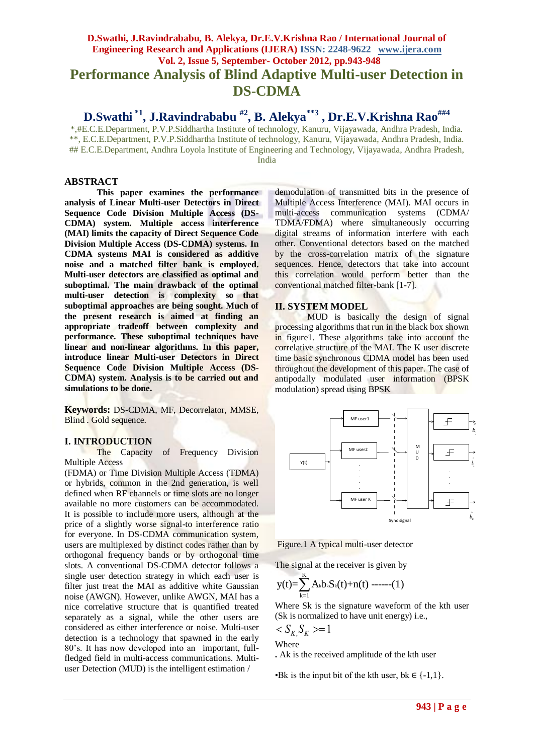# **D.Swathi, J.Ravindrababu, B. Alekya, Dr.E.V.Krishna Rao / International Journal of Engineering Research and Applications (IJERA) ISSN: 2248-9622 www.ijera.com Vol. 2, Issue 5, September- October 2012, pp.943-948 Performance Analysis of Blind Adaptive Multi-user Detection in DS-CDMA**

**D.Swathi \*1, J.Ravindrababu #2, B. Alekya\*\*3 , Dr.E.V.Krishna Rao##4**

\*,#E.C.E.Department, P.V.P.Siddhartha Institute of technology, Kanuru, Vijayawada, Andhra Pradesh, India. \*\*, E.C.E.Department, P.V.P.Siddhartha Institute of technology, Kanuru, Vijayawada, Andhra Pradesh, India. ## E.C.E.Department, Andhra Loyola Institute of Engineering and Technology, Vijayawada, Andhra Pradesh, India

## **ABSTRACT**

**This paper examines the performance analysis of Linear Multi-user Detectors in Direct Sequence Code Division Multiple Access (DS-CDMA) system. Multiple access interference (MAI) limits the capacity of Direct Sequence Code Division Multiple Access (DS-CDMA) systems. In CDMA systems MAI is considered as additive noise and a matched filter bank is employed. Multi-user detectors are classified as optimal and suboptimal. The main drawback of the optimal multi-user detection is complexity so that suboptimal approaches are being sought. Much of the present research is aimed at finding an appropriate tradeoff between complexity and performance. These suboptimal techniques have linear and non-linear algorithms. In this paper, introduce linear Multi-user Detectors in Direct Sequence Code Division Multiple Access (DS-CDMA) system. Analysis is to be carried out and simulations to be done.**

**Keywords:** DS-CDMA, MF, Decorrelator, MMSE, Blind . Gold sequence.

## **I. INTRODUCTION**

The Capacity of Frequency Division Multiple Access

(FDMA) or Time Division Multiple Access (TDMA) or hybrids, common in the 2nd generation, is well defined when RF channels or time slots are no longer available no more customers can be accommodated. It is possible to include more users, although at the price of a slightly worse signal-to interference ratio for everyone. In DS-CDMA communication system, users are multiplexed by distinct codes rather than by orthogonal frequency bands or by orthogonal time slots. A conventional DS-CDMA detector follows a single user detection strategy in which each user is filter just treat the MAI as additive white Gaussian noise (AWGN). However, unlike AWGN, MAI has a nice correlative structure that is quantified treated separately as a signal, while the other users are considered as either interference or noise. Multi-user detection is a technology that spawned in the early 80's. It has now developed into an important, fullfledged field in multi-access communications. Multiuser Detection (MUD) is the intelligent estimation /

demodulation of transmitted bits in the presence of Multiple Access Interference (MAI). MAI occurs in multi-access communication systems (CDMA/ TDMA/FDMA) where simultaneously occurring digital streams of information interfere with each other. Conventional detectors based on the matched by the cross-correlation matrix of the signature sequences. Hence, detectors that take into account this correlation would perform better than the conventional matched filter-bank [1-7].

## **II. SYSTEM MODEL**

MUD is basically the design of signal processing algorithms that run in the black box shown in figure1. These algorithms take into account the correlative structure of the MAI. The K user discrete time basic synchronous CDMA model has been used throughout the development of this paper. The case of antipodally modulated user information (BPSK modulation) spread using BPSK



Figure.1 A typical multi-user detector

The signal at the receiver is given by

$$
y(t)\!\!=\!\sum_{k=1}^K A_k b_k S_k(t)\!+\!n(t)\!\!\!\!-\!\!\!-\!\!\!-\!\!\!- \!\!\!- (1)
$$

Where Sk is the signature waveform of the kth user (Sk is normalized to have unit energy) i.e.,

 $\langle S_{K} S_{K} \rangle = 1$ 

$$
\overset{\cdots}{\text{Where}}
$$

**.** Ak is the received amplitude of the kth user

•Bk is the input bit of the kth user, bk  $\in \{-1,1\}$ .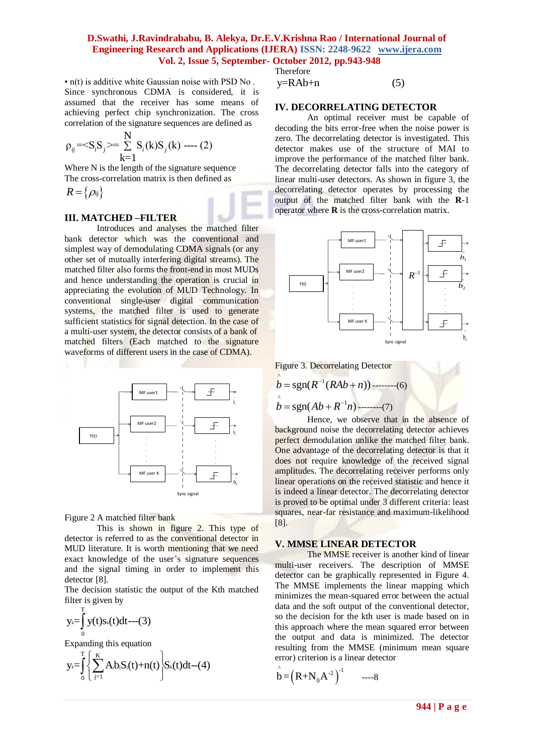• n(t) is additive white Gaussian noise with PSD No . Since synchronous CDMA is considered, it is assumed that the receiver has some means of achieving perfect chip synchronization. The cross correlation of the signature sequences are defined as

$$
\rho_{ij} =  = \sum_{k=1}^{N} S_i(k) S_j(k) \text{ --- } (2)
$$

Where N is the length of the signature sequence The cross-correlation matrix is then defined as

 $R = \{\rho_{ij}\}\$ 

## **III. MATCHED –FILTER**

Introduces and analyses the matched filter bank detector which was the conventional and simplest way of demodulating CDMA signals (or any other set of mutually interfering digital streams). The matched filter also forms the front-end in most MUDs and hence understanding the operation is crucial in appreciating the evolution of MUD Technology. In conventional single-user digital communication systems, the matched filter is used to generate sufficient statistics for signal detection. In the case of a multi-user system, the detector consists of a bank of matched filters (Each matched to the signature waveforms of different users in the case of CDMA).



Figure 2 A matched filter bank

This is shown in figure 2. This type of detector is referred to as the conventional detector in MUD literature. It is worth mentioning that we need exact knowledge of the user's signature sequences and the signal timing in order to implement this detector [8].

The decision statistic the output of the Kth matched filter is given by

$$
y_k = \int_0^T y(t)s_k(t)dt
$$
---(3)

Expanding this equation  
\n
$$
y_k = \int_0^T \left\{ \sum_{j=1}^K A_j b_j S_j(t) + n(t) \right\} S_k(t) dt - (4)
$$

$$
y = RAb + n \tag{5}
$$

**IV. DECORRELATING DETECTOR**

An optimal receiver must be capable of decoding the bits error-free when the noise power is zero. The decorrelating detector is investigated. This detector makes use of the structure of MAI to improve the performance of the matched filter bank. The decorrelating detector falls into the category of linear multi-user detectors. As shown in figure 3, the decorrelating detector operates by processing the output of the matched filter bank with the **R**-1 operator where **R** is the cross-correlation matrix.



Figure 3. Decorrelating Detector

$$
\hat{b} = \text{sgn}(R^{-1}(RAb + n))
$$
........(6)

 $b = \text{sgn}(Ab + R^{-1}n)$ --------(7)

Hence, we observe that in the absence of background noise the decorrelating detector achieves perfect demodulation unlike the matched filter bank. One advantage of the decorrelating detector is that it does not require knowledge of the received signal amplitudes. The decorrelating receiver performs only linear operations on the received statistic and hence it is indeed a linear detector. The decorrelating detector is proved to be optimal under 3 different criteria: least squares, near-far resistance and maximum-likelihood [8].

## **V. MMSE LINEAR DETECTOR**

The MMSE receiver is another kind of linear multi-user receivers. The description of MMSE detector can be graphically represented in Figure 4. The MMSE implements the linear mapping which minimizes the mean-squared error between the actual data and the soft output of the conventional detector, so the decision for the kth user is made based on in this approach where the mean squared error between the output and data is minimized. The detector resulting from the MMSE (minimum mean square error) criterion is a linear detector

$$
\hat{b} = (R + N_0 A^{-2})^{-1} \qquad \qquad \text{---8}
$$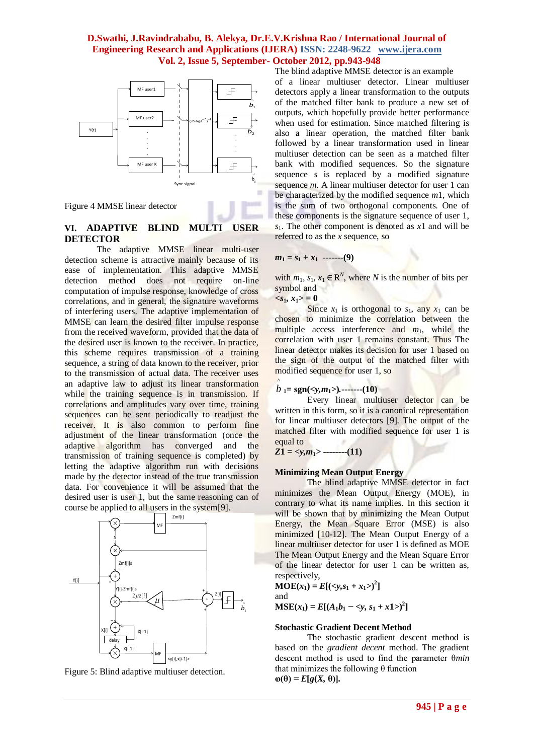

Figure 4 MMSE linear detector

## **VI. ADAPTIVE BLIND MULTI USER DETECTOR**

The adaptive MMSE linear multi-user detection scheme is attractive mainly because of its ease of implementation. This adaptive MMSE detection method does not require on-line computation of impulse response, knowledge of cross correlations, and in general, the signature waveforms of interfering users. The adaptive implementation of MMSE can learn the desired filter impulse response from the received waveform, provided that the data of the desired user is known to the receiver. In practice, this scheme requires transmission of a training sequence, a string of data known to the receiver, prior to the transmission of actual data. The receiver uses an adaptive law to adjust its linear transformation while the training sequence is in transmission. If correlations and amplitudes vary over time, training sequences can be sent periodically to readjust the receiver. It is also common to perform fine adjustment of the linear transformation (once the adaptive algorithm has converged and the transmission of training sequence is completed) by letting the adaptive algorithm run with decisions made by the detector instead of the true transmission data. For convenience it will be assumed that the desired user is user 1, but the same reasoning can of course be applied to all users in the system[9].



Figure 5: Blind adaptive multiuser detection.

The blind adaptive MMSE detector is an example of a linear multiuser detector. Linear multiuser detectors apply a linear transformation to the outputs of the matched filter bank to produce a new set of outputs, which hopefully provide better performance when used for estimation. Since matched filtering is also a linear operation, the matched filter bank followed by a linear transformation used in linear multiuser detection can be seen as a matched filter bank with modified sequences. So the signature sequence *s* is replaced by a modified signature sequence *m*. A linear multiuser detector for user 1 can be characterized by the modified sequence *m*1, which is the sum of two orthogonal components. One of these components is the signature sequence of user 1, *s*1. The other component is denoted as *x*1 and will be referred to as the *x* sequence, so

$$
m_1 = s_1 + x_1 \quad \cdots \cdots \cdots (9)
$$

with  $m_1$ ,  $s_1$ ,  $x_1 \in \mathbb{R}^N$ , where *N* is the number of bits per symbol and

 $\langle s_1, x_1 \rangle = 0$ 

Since  $x_1$  is orthogonal to  $s_1$ , any  $x_1$  can be chosen to minimize the correlation between the multiple access interference and  $m_1$ , while the correlation with user 1 remains constant. Thus The linear detector makes its decision for user 1 based on the sign of the output of the matched filter with modified sequence for user 1, so

$$
\hat{b}_{1} = \text{sgn}(\langle y, m_{1} \rangle) \dots \dots \dots \dots (10)
$$

Every linear multiuser detector can be written in this form, so it is a canonical representation for linear multiuser detectors [9]. The output of the matched filter with modified sequence for user 1 is equal to

 $Z1 = \langle y, m_1 \rangle$  **--------** $(11)$ 

#### **Minimizing Mean Output Energy**

The blind adaptive MMSE detector in fact minimizes the Mean Output Energy (MOE), in contrary to what its name implies. In this section it will be shown that by minimizing the Mean Output Energy, the Mean Square Error (MSE) is also minimized [10-12]. The Mean Output Energy of a linear multiuser detector for user 1 is defined as MOE The Mean Output Energy and the Mean Square Error of the linear detector for user 1 can be written as, respectively,

**MOE** $(x_1) = E[(\langle y, s_1 + x_1 \rangle)^2]$ and

**MSE**( $x_1$ ) =  $E[(A_1b_1 - \langle y, s_1 + x1 \rangle)^2]$ 

#### **Stochastic Gradient Decent Method**

The stochastic gradient descent method is based on the *gradient decent* method. The gradient descent method is used to find the parameter θ*min*  that minimizes the following  $θ$  function  $\Phi(\theta) = E[g(X, \theta)].$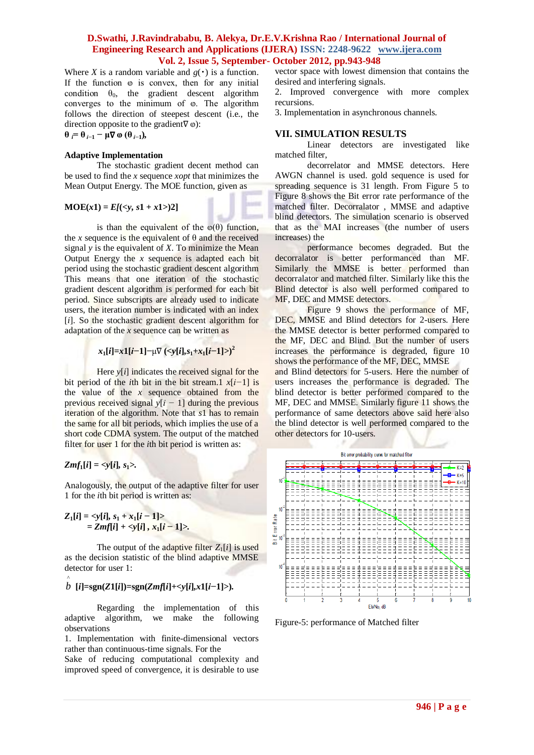Where *X* is a random variable and  $g(\cdot)$  is a function. If the function  $\omega$  is convex, then for any initial condition  $\theta_0$ , the gradient descent algorithm converges to the minimum of  $\varphi$ . The algorithm follows the direction of steepest descent (i.e., the direction opposite to the gradient $\nabla \omega$ :

 $\theta$   $\theta$   $= \theta$   $\theta$   $\theta$   $-1$   $-$  **μ** $\nabla$  **ω**  $(\theta)$   $\theta$   $\theta$ 

## **Adaptive Implementation**

The stochastic gradient decent method can be used to find the *x* sequence *xopt* that minimizes the Mean Output Energy. The MOE function, given as

$$
MOE(x1) = E[()2]
$$

is than the equivalent of the  $\varphi(\theta)$  function, the *x* sequence is the equivalent of  $\theta$  and the received signal *y* is the equivalent of *X*. To minimize the Mean Output Energy the  $x$  sequence is adapted each bit period using the stochastic gradient descent algorithm This means that one iteration of the stochastic gradient descent algorithm is performed for each bit period. Since subscripts are already used to indicate users, the iteration number is indicated with an index [*i*]. So the stochastic gradient descent algorithm for adaptation of the *x* sequence can be written as

$$
x_1[i]=x1[i-1]-\mu\nabla(\langle y[i], s_1+x_1[i-1]\rangle)^2
$$

Here  $y[i]$  indicates the received signal for the bit period of the *i*th bit in the bit stream.1 *x*[*i−*1] is the value of the *x* sequence obtained from the previous received signal *y*[*i −* 1] during the previous iteration of the algorithm. Note that *s*1 has to remain the same for all bit periods, which implies the use of a short code CDMA system. The output of the matched filter for user 1 for the *i*th bit period is written as:

*Zmf*<sub>1</sub> $[i] = \langle y[i], s_1 \rangle$ .

Analogously, the output of the adaptive filter for user 1 for the *i*th bit period is written as:

$$
Z_1[i] = \langle y[i], s_1 + x_1[i-1] \rangle
$$
  
= Zmf[i] + \langle y[i], x\_1[i-1] \rangle.

The output of the adaptive filter  $Z_1[i]$  is used as the decision statistic of the blind adaptive MMSE detector for user 1:

# ^ *b* **[***i***]=sgn(***Z***1[***i***])=sgn(***Zmf***[***i***]+***<y***[***i***]***,x***1[***i−***1]***>***)***.*

Regarding the implementation of this adaptive algorithm, we make the following observations

1. Implementation with finite-dimensional vectors rather than continuous-time signals. For the

Sake of reducing computational complexity and improved speed of convergence, it is desirable to use

vector space with lowest dimension that contains the desired and interfering signals.

2. Improved convergence with more complex recursions.

3. Implementation in asynchronous channels.

## **VII. SIMULATION RESULTS**

Linear detectors are investigated like matched filter,

decorrelator and MMSE detectors. Here AWGN channel is used. gold sequence is used for spreading sequence is 31 length. From Figure 5 to Figure 8 shows the Bit error rate performance of the matched filter. Decorralator , MMSE and adaptive blind detectors. The simulation scenario is observed that as the MAI increases (the number of users increases) the

performance becomes degraded. But the decorralator is better performanced than MF. Similarly the MMSE is better performed than decorralator and matched filter. Similarly like this the Blind detector is also well performed compared to MF, DEC and MMSE detectors.

Figure 9 shows the performance of MF, DEC, MMSE and Blind detectors for 2-users. Here the MMSE detector is better performed compared to the MF, DEC and Blind. But the number of users increases the performance is degraded, figure 10 shows the performance of the MF, DEC, MMSE

and Blind detectors for 5-users. Here the number of users increases the performance is degraded. The blind detector is better performed compared to the MF, DEC and MMSE. Similarly figure 11 shows the performance of same detectors above said here also the blind detector is well performed compared to the other detectors for 10-users.



Figure-5: performance of Matched filter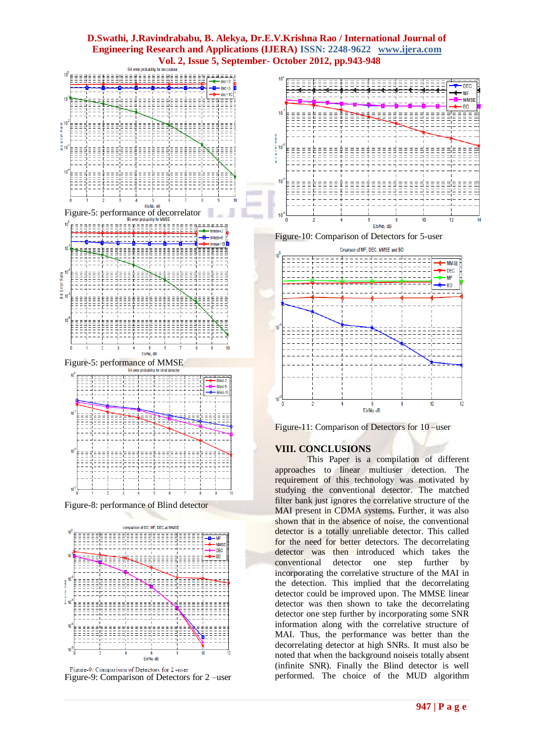

Figure-8: performance of Blind detector



Figure-9: Comparison of Detectors for 2 -user Figure-9: Comparison of Detectors for 2 –user



Figure-10: Comparison of Detectors for 5-user



Figure-11: Comparison of Detectors for 10 –user

## **VIII. CONCLUSIONS**

This Paper is a compilation of different approaches to linear multiuser detection. The requirement of this technology was motivated by studying the conventional detector. The matched filter bank just ignores the correlative structure of the MAI present in CDMA systems. Further, it was also shown that in the absence of noise, the conventional detector is a totally unreliable detector. This called for the need for better detectors. The decorrelating detector was then introduced which takes the conventional detector one step further by incorporating the correlative structure of the MAI in the detection. This implied that the decorrelating detector could be improved upon. The MMSE linear detector was then shown to take the decorrelating detector one step further by incorporating some SNR information along with the correlative structure of MAI. Thus, the performance was better than the decorrelating detector at high SNRs. It must also be noted that when the background noiseis totally absent (infinite SNR). Finally the Blind detector is well performed. The choice of the MUD algorithm